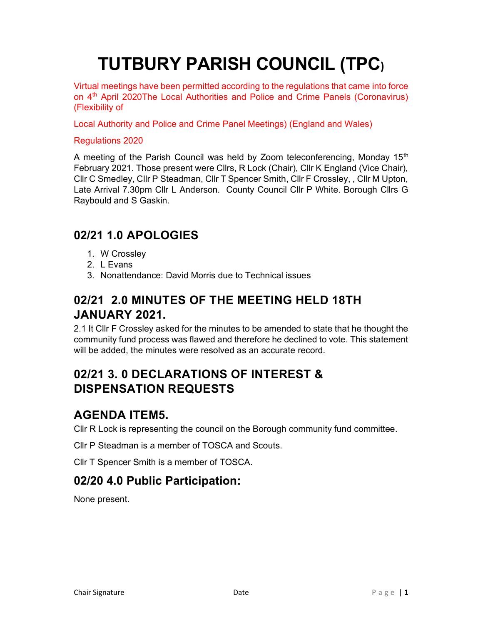# TUTBURY PARISH COUNCIL (TPC)

Virtual meetings have been permitted according to the regulations that came into force on 4<sup>th</sup> April 2020The Local Authorities and Police and Crime Panels (Coronavirus) (Flexibility of

Local Authority and Police and Crime Panel Meetings) (England and Wales)

#### Regulations 2020

A meeting of the Parish Council was held by Zoom teleconferencing, Monday 15<sup>th</sup> February 2021. Those present were Cllrs, R Lock (Chair), Cllr K England (Vice Chair), Cllr C Smedley, Cllr P Steadman, Cllr T Spencer Smith, Cllr F Crossley, , Cllr M Upton, Late Arrival 7.30pm Cllr L Anderson. County Council Cllr P White. Borough Cllrs G Raybould and S Gaskin.

#### 02/21 1.0 APOLOGIES

- 1. W Crossley
- 2. L Evans
- 3. Nonattendance: David Morris due to Technical issues

# 02/21 2.0 MINUTES OF THE MEETING HELD 18TH JANUARY 2021.

2.1 It Cllr F Crossley asked for the minutes to be amended to state that he thought the community fund process was flawed and therefore he declined to vote. This statement will be added, the minutes were resolved as an accurate record.

## 02/21 3. 0 DECLARATIONS OF INTEREST & DISPENSATION REQUESTS

### AGENDA ITEM5.

Cllr R Lock is representing the council on the Borough community fund committee.

Cllr P Steadman is a member of TOSCA and Scouts.

Cllr T Spencer Smith is a member of TOSCA.

#### 02/20 4.0 Public Participation:

None present.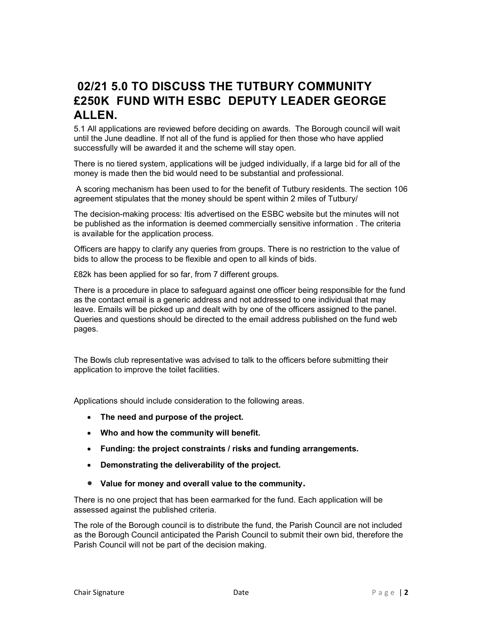### 02/21 5.0 TO DISCUSS THE TUTBURY COMMUNITY £250K FUND WITH ESBC DEPUTY LEADER GEORGE ALLEN.

5.1 All applications are reviewed before deciding on awards. The Borough council will wait until the June deadline. If not all of the fund is applied for then those who have applied successfully will be awarded it and the scheme will stay open.

There is no tiered system, applications will be judged individually, if a large bid for all of the money is made then the bid would need to be substantial and professional.

 A scoring mechanism has been used to for the benefit of Tutbury residents. The section 106 agreement stipulates that the money should be spent within 2 miles of Tutbury/

The decision-making process: Itis advertised on the ESBC website but the minutes will not be published as the information is deemed commercially sensitive information . The criteria is available for the application process.

Officers are happy to clarify any queries from groups. There is no restriction to the value of bids to allow the process to be flexible and open to all kinds of bids.

£82k has been applied for so far, from 7 different groups.

There is a procedure in place to safeguard against one officer being responsible for the fund as the contact email is a generic address and not addressed to one individual that may leave. Emails will be picked up and dealt with by one of the officers assigned to the panel. Queries and questions should be directed to the email address published on the fund web pages.

The Bowls club representative was advised to talk to the officers before submitting their application to improve the toilet facilities.

Applications should include consideration to the following areas.

- The need and purpose of the project.
- Who and how the community will benefit.
- Funding: the project constraints / risks and funding arrangements.
- Demonstrating the deliverability of the project.
- Value for money and overall value to the community.

There is no one project that has been earmarked for the fund. Each application will be assessed against the published criteria.

The role of the Borough council is to distribute the fund, the Parish Council are not included as the Borough Council anticipated the Parish Council to submit their own bid, therefore the Parish Council will not be part of the decision making.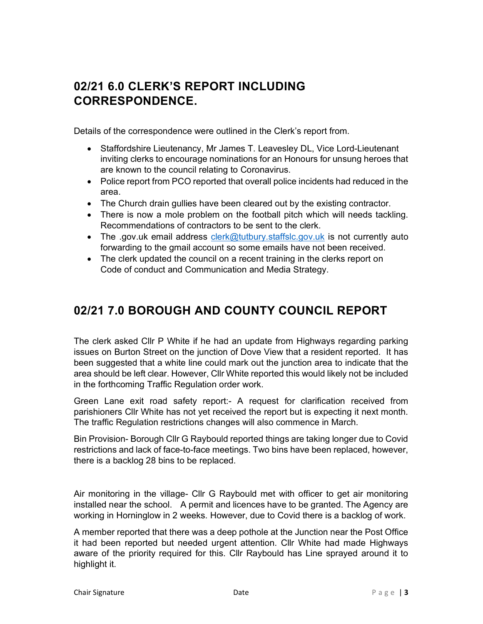### 02/21 6.0 CLERK'S REPORT INCLUDING CORRESPONDENCE.

Details of the correspondence were outlined in the Clerk's report from.

- Staffordshire Lieutenancy, Mr James T. Leavesley DL, Vice Lord-Lieutenant inviting clerks to encourage nominations for an Honours for unsung heroes that are known to the council relating to Coronavirus.
- Police report from PCO reported that overall police incidents had reduced in the area.
- The Church drain gullies have been cleared out by the existing contractor.
- There is now a mole problem on the football pitch which will needs tackling. Recommendations of contractors to be sent to the clerk.
- The .gov.uk email address clerk@tutbury.staffslc.gov.uk is not currently auto forwarding to the gmail account so some emails have not been received.
- The clerk updated the council on a recent training in the clerks report on Code of conduct and Communication and Media Strategy.

### 02/21 7.0 BOROUGH AND COUNTY COUNCIL REPORT

The clerk asked Cllr P White if he had an update from Highways regarding parking issues on Burton Street on the junction of Dove View that a resident reported. It has been suggested that a white line could mark out the junction area to indicate that the area should be left clear. However, Cllr White reported this would likely not be included in the forthcoming Traffic Regulation order work.

Green Lane exit road safety report:- A request for clarification received from parishioners Cllr White has not yet received the report but is expecting it next month. The traffic Regulation restrictions changes will also commence in March.

Bin Provision- Borough Cllr G Raybould reported things are taking longer due to Covid restrictions and lack of face-to-face meetings. Two bins have been replaced, however, there is a backlog 28 bins to be replaced.

Air monitoring in the village- Cllr G Raybould met with officer to get air monitoring installed near the school. A permit and licences have to be granted. The Agency are working in Horninglow in 2 weeks. However, due to Covid there is a backlog of work.

A member reported that there was a deep pothole at the Junction near the Post Office it had been reported but needed urgent attention. Cllr White had made Highways aware of the priority required for this. Cllr Raybould has Line sprayed around it to highlight it.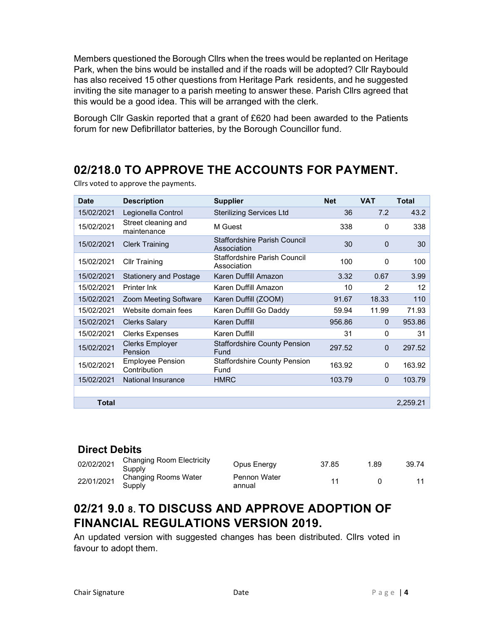Members questioned the Borough Cllrs when the trees would be replanted on Heritage Park, when the bins would be installed and if the roads will be adopted? Cllr Raybould has also received 15 other questions from Heritage Park residents, and he suggested inviting the site manager to a parish meeting to answer these. Parish Cllrs agreed that this would be a good idea. This will be arranged with the clerk.

Borough Cllr Gaskin reported that a grant of £620 had been awarded to the Patients forum for new Defibrillator batteries, by the Borough Councillor fund.

### 02/218.0 TO APPROVE THE ACCOUNTS FOR PAYMENT.

| <b>Date</b>  | <b>Description</b>                      | <b>Supplier</b>                             | <b>Net</b> | <b>VAT</b>     | <b>Total</b> |
|--------------|-----------------------------------------|---------------------------------------------|------------|----------------|--------------|
| 15/02/2021   | Legionella Control                      | <b>Sterilizing Services Ltd</b>             | 36         | 7.2            | 43.2         |
| 15/02/2021   | Street cleaning and<br>maintenance      | M Guest                                     | 338        | 0              | 338          |
| 15/02/2021   | <b>Clerk Training</b>                   | Staffordshire Parish Council<br>Association | 30         | $\Omega$       | 30           |
| 15/02/2021   | <b>Cllr Training</b>                    | Staffordshire Parish Council<br>Association | 100        | $\mathbf{0}$   | 100          |
| 15/02/2021   | <b>Stationery and Postage</b>           | Karen Duffill Amazon                        | 3.32       | 0.67           | 3.99         |
| 15/02/2021   | Printer Ink                             | Karen Duffill Amazon                        | 10         | $\mathfrak{p}$ | 12           |
| 15/02/2021   | Zoom Meeting Software                   | Karen Duffill (ZOOM)                        | 91.67      | 18.33          | 110          |
| 15/02/2021   | Website domain fees                     | Karen Duffill Go Daddy                      | 59.94      | 11.99          | 71.93        |
| 15/02/2021   | <b>Clerks Salary</b>                    | <b>Karen Duffill</b>                        | 956.86     | $\Omega$       | 953.86       |
| 15/02/2021   | <b>Clerks Expenses</b>                  | Karen Duffill                               | 31         | 0              | 31           |
| 15/02/2021   | <b>Clerks Employer</b><br>Pension       | <b>Staffordshire County Pension</b><br>Fund | 297.52     | $\mathbf 0$    | 297.52       |
| 15/02/2021   | <b>Employee Pension</b><br>Contribution | <b>Staffordshire County Pension</b><br>Fund | 163.92     | $\mathbf{0}$   | 163.92       |
| 15/02/2021   | <b>National Insurance</b>               | <b>HMRC</b>                                 | 103.79     | $\mathbf 0$    | 103.79       |
|              |                                         |                                             |            |                |              |
| <b>Total</b> |                                         |                                             |            |                | 2,259.21     |

Cllrs voted to approve the payments.

#### Direct Debits

| 02/02/2021 | Changing Room Electricity<br>Supply | Opus Energy            | 37.85 | 1.89 | 39.74 |
|------------|-------------------------------------|------------------------|-------|------|-------|
| 22/01/2021 | Changing Rooms Water<br>Supply      | Pennon Water<br>annual |       |      |       |

### 02/21 9.0 8. TO DISCUSS AND APPROVE ADOPTION OF FINANCIAL REGULATIONS VERSION 2019.

An updated version with suggested changes has been distributed. Cllrs voted in favour to adopt them.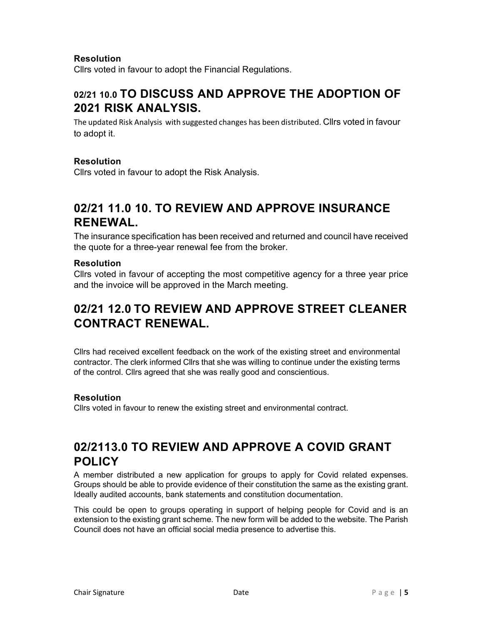#### Resolution

Cllrs voted in favour to adopt the Financial Regulations.

### 02/21 10.0 TO DISCUSS AND APPROVE THE ADOPTION OF 2021 RISK ANALYSIS.

The updated Risk Analysis with suggested changes has been distributed. Cllrs voted in favour to adopt it.

#### Resolution

Cllrs voted in favour to adopt the Risk Analysis.

### 02/21 11.0 10. TO REVIEW AND APPROVE INSURANCE RENEWAL.

The insurance specification has been received and returned and council have received the quote for a three-year renewal fee from the broker.

#### Resolution

Cllrs voted in favour of accepting the most competitive agency for a three year price and the invoice will be approved in the March meeting.

#### 02/21 12.0 TO REVIEW AND APPROVE STREET CLEANER CONTRACT RENEWAL.

Cllrs had received excellent feedback on the work of the existing street and environmental contractor. The clerk informed Cllrs that she was willing to continue under the existing terms of the control. Cllrs agreed that she was really good and conscientious.

#### Resolution

Cllrs voted in favour to renew the existing street and environmental contract.

#### 02/2113.0 TO REVIEW AND APPROVE A COVID GRANT POLICY

A member distributed a new application for groups to apply for Covid related expenses. Groups should be able to provide evidence of their constitution the same as the existing grant. Ideally audited accounts, bank statements and constitution documentation.

This could be open to groups operating in support of helping people for Covid and is an extension to the existing grant scheme. The new form will be added to the website. The Parish Council does not have an official social media presence to advertise this.